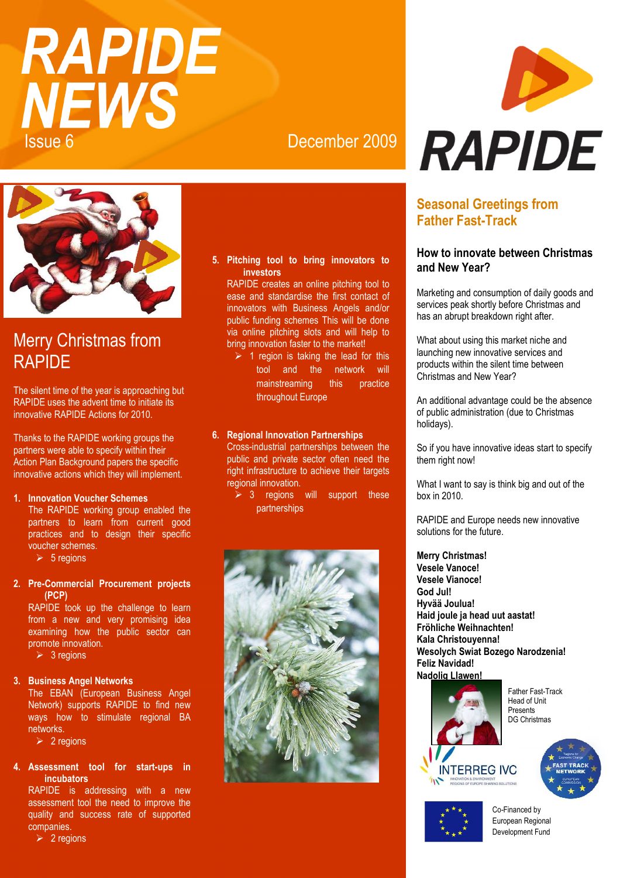## RAPIDE **NEWS** Issue 6 December 2009



## Merry Christmas from **RAPIDE**

The silent time of the year is approaching but RAPIDE uses the advent time to initiate its innovative RAPIDE Actions for 2010.

Thanks to the RAPIDE working groups the partners were able to specify within their Action Plan Background papers the specific innovative actions which they will implement.

### **1. Innovation Voucher Schemes**

The RAPIDE working group enabled the partners to learn from current good practices and to design their specific voucher schemes.  $> 5$  regions

**2. Pre-Commercial Procurement projects (PCP)** 

RAPIDE took up the challenge to learn from a new and very promising idea examining how the public sector can promote innovation.

 $> 3$  regions

### **3. Business Angel Networks**

The EBAN (European Business Angel Network) supports RAPIDE to find new ways how to stimulate regional BA networks.

 $\geq 2$  regions

### **4. Assessment tool for start-ups in incubators**

RAPIDE is addressing with a new assessment tool the need to improve the quality and success rate of supported companies.

 $\geq 2$  regions

### **5. Pitching tool to bring innovators to investors**

RAPIDE creates an online pitching tool to ease and standardise the first contact of innovators with Business Angels and/or public funding schemes This will be done via online pitching slots and will help to bring innovation faster to the market!

 $\geq 1$  region is taking the lead for this tool and the network will mainstreaming this practice throughout Europe

### **6. Regional Innovation Partnerships**

Cross-industrial partnerships between the public and private sector often need the right infrastructure to achieve their targets regional innovation.

 $\geq 3$  regions will support these partnerships



# D **RAPIDE**

### **Seasonal Greetings from Father Fast-Track**

### **How to innovate between Christmas and New Year?**

Marketing and consumption of daily goods and services peak shortly before Christmas and has an abrupt breakdown right after.

What about using this market niche and launching new innovative services and products within the silent time between Christmas and New Year?

An additional advantage could be the absence of public administration (due to Christmas holidays).

So if you have innovative ideas start to specify them right now!

What I want to say is think big and out of the box in 2010.

RAPIDE and Europe needs new innovative solutions for the future.

**Merry Christmas! Vesele Vanoce! Vesele Vianoce! God Jul! Hyvää Joulua! Haid joule ja head uut aastat! Fröhliche Weihnachten! Kala Christouyenna! Wesolych Swiat Bozego Narodzenia! Feliz Navidad! Nadolig Llawen!** 



Father Fast-Track Head of Unit **Precents** DG Christmas





Co-Financed by European Regional Development Fund